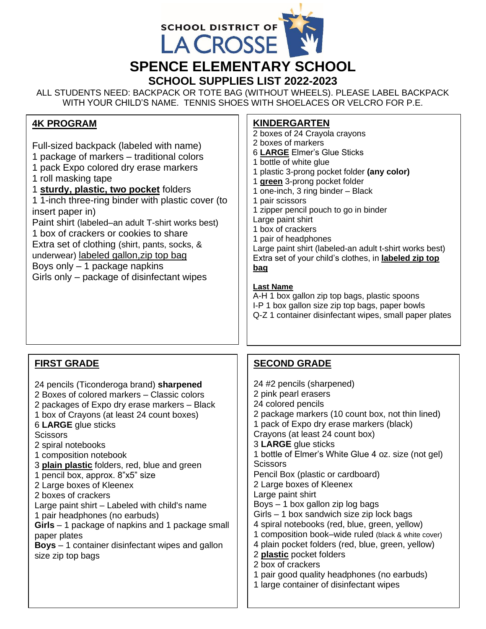

ALL STUDENTS NEED: BACKPACK OR TOTE BAG (WITHOUT WHEELS). PLEASE LABEL BACKPACK WITH YOUR CHILD'S NAME. TENNIS SHOES WITH SHOELACES OR VELCRO FOR P.E.

#### **4K PROGRAM**

Full-sized backpack (labeled with name)

- 1 package of markers traditional colors
- 1 pack Expo colored dry erase markers

1 roll masking tape

#### 1 **sturdy, plastic, two pocket** folders

1 1-inch three-ring binder with plastic cover (to insert paper in)

Paint shirt (labeled–an adult T-shirt works best) 1 box of crackers or cookies to share

Extra set of clothing (shirt, pants, socks, & underwear) labeled gallon, zip top bag

Boys only – 1 package napkins Girls only – package of disinfectant wipes

#### **KINDERGARTEN**

2 boxes of 24 Crayola crayons 2 boxes of markers 6 **LARGE** Elmer's Glue Sticks 1 bottle of white glue 1 plastic 3-prong pocket folder **(any color)** 1 **green** 3-prong pocket folder 1 one-inch, 3 ring binder – Black 1 pair scissors 1 zipper pencil pouch to go in binder Large paint shirt 1 box of crackers 1 pair of headphones Large paint shirt (labeled-an adult t-shirt works best) Extra set of your child's clothes, in **labeled zip top bag**

#### **Last Name**

A-H 1 box gallon zip top bags, plastic spoons I-P 1 box gallon size zip top bags, paper bowls Q-Z 1 container disinfectant wipes, small paper plates

## **FIRST GRADE**

24 pencils (Ticonderoga brand) **sharpened**

- 2 Boxes of colored markers Classic colors
- 2 packages of Expo dry erase markers Black
- 1 box of Crayons (at least 24 count boxes)
- 6 **LARGE** glue sticks

**Scissors** 

- 2 spiral notebooks
- 1 composition notebook
- 3 **plain plastic** folders, red, blue and green
- 1 pencil box, approx. 8"x5" size

2 Large boxes of Kleenex

2 boxes of crackers

Large paint shirt – Labeled with child's name 1 pair headphones (no earbuds)

**Girls** – 1 package of napkins and 1 package small paper plates

**Boys** – 1 container disinfectant wipes and gallon size zip top bags

## **SECOND GRADE**

24 #2 pencils (sharpened) 2 pink pearl erasers 24 colored pencils 2 package markers (10 count box, not thin lined) 1 pack of Expo dry erase markers (black) Crayons (at least 24 count box) 3 **LARGE** glue sticks 1 bottle of Elmer's White Glue 4 oz. size (not gel) **Scissors** Pencil Box (plastic or cardboard) 2 Large boxes of Kleenex Large paint shirt Boys – 1 box gallon zip log bags Girls – 1 box sandwich size zip lock bags 4 spiral notebooks (red, blue, green, yellow) 1 composition book–wide ruled (black & white cover) 4 plain pocket folders (red, blue, green, yellow) 2 **plastic** pocket folders 2 box of crackers 1 pair good quality headphones (no earbuds) 1 large container of disinfectant wipes